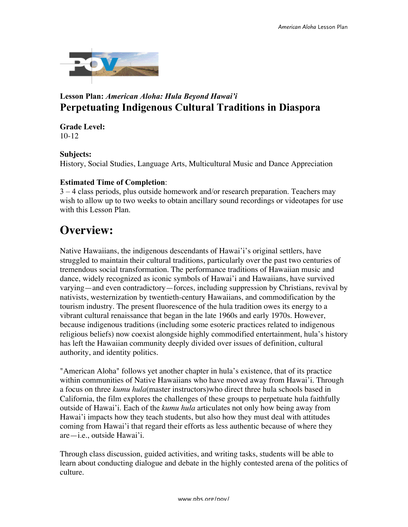

# **Lesson Plan:** *American Aloha: Hula Beyond Hawai'i* **Perpetuating Indigenous Cultural Traditions in Diaspora**

#### **Grade Level:** 10-12

#### **Subjects:**

History, Social Studies, Language Arts, Multicultural Music and Dance Appreciation

## **Estimated Time of Completion**:

3 – 4 class periods, plus outside homework and/or research preparation. Teachers may wish to allow up to two weeks to obtain ancillary sound recordings or videotapes for use with this Lesson Plan.

# **Overview:**

Native Hawaiians, the indigenous descendants of Hawai'i's original settlers, have struggled to maintain their cultural traditions, particularly over the past two centuries of tremendous social transformation. The performance traditions of Hawaiian music and dance, widely recognized as iconic symbols of Hawai'i and Hawaiians, have survived varying—and even contradictory—forces, including suppression by Christians, revival by nativists, westernization by twentieth-century Hawaiians, and commodification by the tourism industry. The present fluorescence of the hula tradition owes its energy to a vibrant cultural renaissance that began in the late 1960s and early 1970s. However, because indigenous traditions (including some esoteric practices related to indigenous religious beliefs) now coexist alongside highly commodified entertainment, hula's history has left the Hawaiian community deeply divided over issues of definition, cultural authority, and identity politics.

"American Aloha" follows yet another chapter in hula's existence, that of its practice within communities of Native Hawaiians who have moved away from Hawai'i. Through a focus on three *kumu hula*(master instructors)who direct three hula schools based in California, the film explores the challenges of these groups to perpetuate hula faithfully outside of Hawai'i. Each of the *kumu hula* articulates not only how being away from Hawai'i impacts how they teach students, but also how they must deal with attitudes coming from Hawai'i that regard their efforts as less authentic because of where they are—i.e., outside Hawai'i.

Through class discussion, guided activities, and writing tasks, students will be able to learn about conducting dialogue and debate in the highly contested arena of the politics of culture.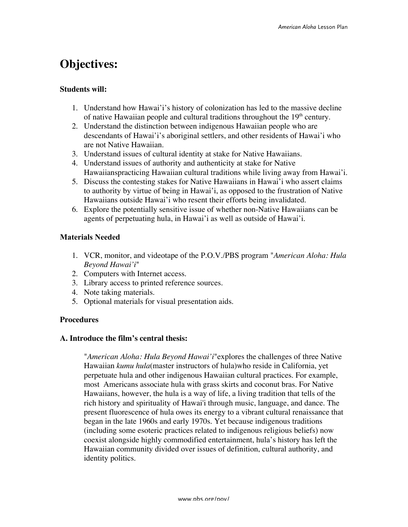# **Objectives:**

#### **Students will:**

- 1. Understand how Hawai'i's history of colonization has led to the massive decline of native Hawaiian people and cultural traditions throughout the  $19<sup>th</sup>$  century.
- 2. Understand the distinction between indigenous Hawaiian people who are descendants of Hawai'i's aboriginal settlers, and other residents of Hawai'i who are not Native Hawaiian.
- 3. Understand issues of cultural identity at stake for Native Hawaiians.
- 4. Understand issues of authority and authenticity at stake for Native Hawaiianspracticing Hawaiian cultural traditions while living away from Hawai'i.
- 5. Discuss the contesting stakes for Native Hawaiians in Hawai'i who assert claims to authority by virtue of being in Hawai'i, as opposed to the frustration of Native Hawaiians outside Hawai'i who resent their efforts being invalidated.
- 6. Explore the potentially sensitive issue of whether non-Native Hawaiians can be agents of perpetuating hula, in Hawai'i as well as outside of Hawai'i.

#### **Materials Needed**

- 1. VCR, monitor, and videotape of the P.O.V./PBS program "*American Aloha: Hula Beyond Hawai'i*"
- 2. Computers with Internet access.
- 3. Library access to printed reference sources.
- 4. Note taking materials.
- 5. Optional materials for visual presentation aids.

#### **Procedures**

#### **A. Introduce the film's central thesis:**

"*American Aloha: Hula Beyond Hawai'i*"explores the challenges of three Native Hawaiian *kumu hula*(master instructors of hula)who reside in California, yet perpetuate hula and other indigenous Hawaiian cultural practices. For example, most Americans associate hula with grass skirts and coconut bras. For Native Hawaiians, however, the hula is a way of life, a living tradition that tells of the rich history and spirituality of Hawai'i through music, language, and dance. The present fluorescence of hula owes its energy to a vibrant cultural renaissance that began in the late 1960s and early 1970s. Yet because indigenous traditions (including some esoteric practices related to indigenous religious beliefs) now coexist alongside highly commodified entertainment, hula's history has left the Hawaiian community divided over issues of definition, cultural authority, and identity politics.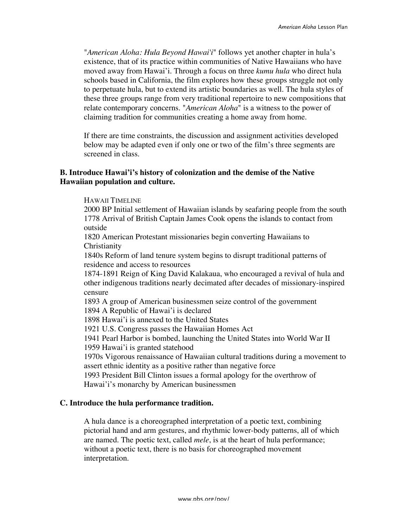"*American Aloha: Hula Beyond Hawai'i*" follows yet another chapter in hula's existence, that of its practice within communities of Native Hawaiians who have moved away from Hawai'i. Through a focus on three *kumu hula* who direct hula schools based in California, the film explores how these groups struggle not only to perpetuate hula, but to extend its artistic boundaries as well. The hula styles of these three groups range from very traditional repertoire to new compositions that relate contemporary concerns. "*American Aloha*" is a witness to the power of claiming tradition for communities creating a home away from home.

If there are time constraints, the discussion and assignment activities developed below may be adapted even if only one or two of the film's three segments are screened in class.

#### **B. Introduce Hawai'i's history of colonization and the demise of the Native Hawaiian population and culture.**

HAWAII TIMELINE

2000 BP Initial settlement of Hawaiian islands by seafaring people from the south 1778 Arrival of British Captain James Cook opens the islands to contact from outside

1820 American Protestant missionaries begin converting Hawaiians to **Christianity** 

1840s Reform of land tenure system begins to disrupt traditional patterns of residence and access to resources

1874-1891 Reign of King David Kalakaua, who encouraged a revival of hula and other indigenous traditions nearly decimated after decades of missionary-inspired censure

1893 A group of American businessmen seize control of the government

1894 A Republic of Hawai'i is declared

1898 Hawai'i is annexed to the United States

1921 U.S. Congress passes the Hawaiian Homes Act

1941 Pearl Harbor is bombed, launching the United States into World War II 1959 Hawai'i is granted statehood

1970s Vigorous renaissance of Hawaiian cultural traditions during a movement to assert ethnic identity as a positive rather than negative force

1993 President Bill Clinton issues a formal apology for the overthrow of Hawai'i's monarchy by American businessmen

#### **C. Introduce the hula performance tradition.**

A hula dance is a choreographed interpretation of a poetic text, combining pictorial hand and arm gestures, and rhythmic lower-body patterns, all of which are named. The poetic text, called *mele*, is at the heart of hula performance; without a poetic text, there is no basis for choreographed movement interpretation.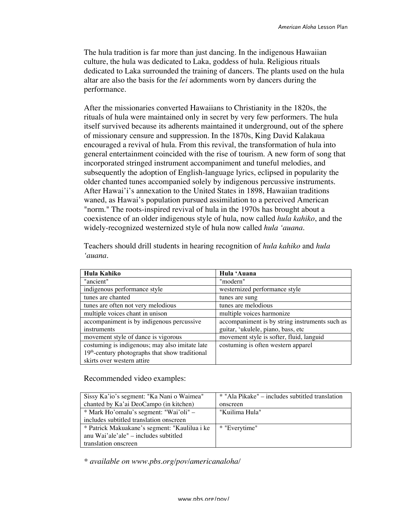The hula tradition is far more than just dancing. In the indigenous Hawaiian culture, the hula was dedicated to Laka, goddess of hula. Religious rituals dedicated to Laka surrounded the training of dancers. The plants used on the hula altar are also the basis for the *lei* adornments worn by dancers during the performance.

After the missionaries converted Hawaiians to Christianity in the 1820s, the rituals of hula were maintained only in secret by very few performers. The hula itself survived because its adherents maintained it underground, out of the sphere of missionary censure and suppression. In the 1870s, King David Kalakaua encouraged a revival of hula. From this revival, the transformation of hula into general entertainment coincided with the rise of tourism. A new form of song that incorporated stringed instrument accompaniment and tuneful melodies, and subsequently the adoption of English-language lyrics, eclipsed in popularity the older chanted tunes accompanied solely by indigenous percussive instruments. After Hawai'i's annexation to the United States in 1898, Hawaiian traditions waned, as Hawai's population pursued assimilation to a perceived American "norm." The roots-inspired revival of hula in the 1970s has brought about a coexistence of an older indigenous style of hula, now called *hula kahiko*, and the widely-recognized westernized style of hula now called *hula 'auana*.

| Hula Kahiko                                       | Hula 'Auana                                    |
|---------------------------------------------------|------------------------------------------------|
| "ancient"                                         | "modern"                                       |
| indigenous performance style                      | westernized performance style                  |
| tunes are chanted                                 | tunes are sung                                 |
| tunes are often not very melodious                | tunes are melodious                            |
| multiple voices chant in unison                   | multiple voices harmonize                      |
| accompaniment is by indigenous percussive         | accompaniment is by string instruments such as |
| instruments                                       | guitar, 'ukulele, piano, bass, etc             |
| movement style of dance is vigorous               | movement style is softer, fluid, languid       |
| costuming is indigenous; may also imitate late    | costuming is often western apparel             |
| $19th$ -century photographs that show traditional |                                                |
| skirts over western attire                        |                                                |

Teachers should drill students in hearing recognition of *hula kahiko* and *hula 'auana*.

Recommended video examples:

| Sissy Ka'io's segment: "Ka Nani o Waimea"     | * "Ala Pikake" – includes subtitled translation |
|-----------------------------------------------|-------------------------------------------------|
| chanted by Ka'ai DeoCampo (in kitchen)        | onscreen                                        |
| * Mark Ho'omalu's segment: "Wai'oli" –        | "Kuilima Hula"                                  |
| includes subtitled translation onscreen       |                                                 |
| * Patrick Makuakane's segment: "Kaulilua i ke | * "Everytime"                                   |
| anu Wai'ale'ale" $-$ includes subtitled       |                                                 |
| translation onscreen                          |                                                 |

*\* available on www.pbs.org/pov/americanaloha/*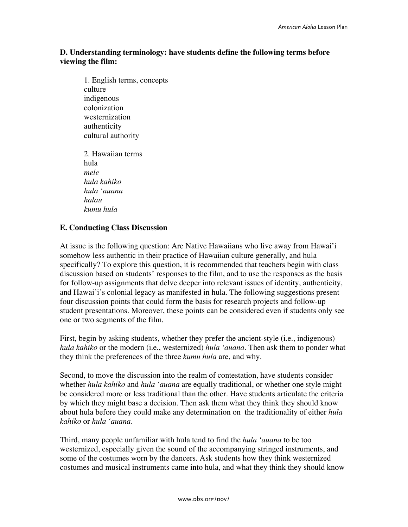# **D. Understanding terminology: have students define the following terms before viewing the film:**

1. English terms, concepts culture indigenous colonization westernization authenticity cultural authority 2. Hawaiian terms hula *mele hula kahiko hula 'auana halau kumu hula*

## **E. Conducting Class Discussion**

At issue is the following question: Are Native Hawaiians who live away from Hawai'i somehow less authentic in their practice of Hawaiian culture generally, and hula specifically? To explore this question, it is recommended that teachers begin with class discussion based on students' responses to the film, and to use the responses as the basis for follow-up assignments that delve deeper into relevant issues of identity, authenticity, and Hawai'i's colonial legacy as manifested in hula. The following suggestions present four discussion points that could form the basis for research projects and follow-up student presentations. Moreover, these points can be considered even if students only see one or two segments of the film.

First, begin by asking students, whether they prefer the ancient-style (i.e., indigenous) *hula kahiko* or the modern (i.e., westernized) *hula 'auana*. Then ask them to ponder what they think the preferences of the three *kumu hula* are, and why.

Second, to move the discussion into the realm of contestation, have students consider whether *hula kahiko* and *hula 'auana* are equally traditional, or whether one style might be considered more or less traditional than the other. Have students articulate the criteria by which they might base a decision. Then ask them what they think they should know about hula before they could make any determination on the traditionality of either *hula kahiko* or *hula 'auana*.

Third, many people unfamiliar with hula tend to find the *hula 'auana* to be too westernized, especially given the sound of the accompanying stringed instruments, and some of the costumes worn by the dancers. Ask students how they think westernized costumes and musical instruments came into hula, and what they think they should know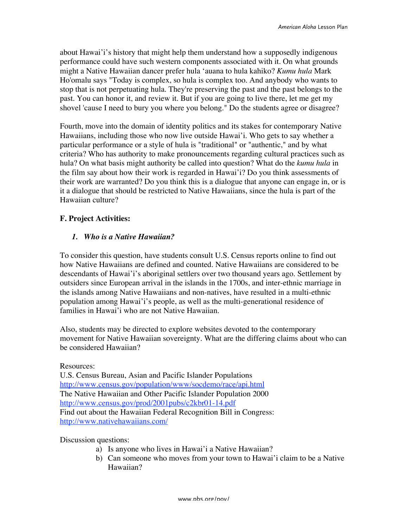about Hawai'i's history that might help them understand how a supposedly indigenous performance could have such western components associated with it. On what grounds might a Native Hawaiian dancer prefer hula 'auana to hula kahiko? *Kumu hula* Mark Ho'omalu says "Today is complex, so hula is complex too. And anybody who wants to stop that is not perpetuating hula. They're preserving the past and the past belongs to the past. You can honor it, and review it. But if you are going to live there, let me get my shovel 'cause I need to bury you where you belong." Do the students agree or disagree?

Fourth, move into the domain of identity politics and its stakes for contemporary Native Hawaiians, including those who now live outside Hawai'i. Who gets to say whether a particular performance or a style of hula is "traditional" or "authentic," and by what criteria? Who has authority to make pronouncements regarding cultural practices such as hula? On what basis might authority be called into question? What do the *kumu hula* in the film say about how their work is regarded in Hawai'i? Do you think assessments of their work are warranted? Do you think this is a dialogue that anyone can engage in, or is it a dialogue that should be restricted to Native Hawaiians, since the hula is part of the Hawaiian culture?

#### **F. Project Activities:**

#### *1. Who is a Native Hawaiian?*

To consider this question, have students consult U.S. Census reports online to find out how Native Hawaiians are defined and counted. Native Hawaiians are considered to be descendants of Hawai'i's aboriginal settlers over two thousand years ago. Settlement by outsiders since European arrival in the islands in the 1700s, and inter-ethnic marriage in the islands among Native Hawaiians and non-natives, have resulted in a multi-ethnic population among Hawai'i's people, as well as the multi-generational residence of families in Hawai'i who are not Native Hawaiian.

Also, students may be directed to explore websites devoted to the contemporary movement for Native Hawaiian sovereignty. What are the differing claims about who can be considered Hawaiian?

#### Resources:

U.S. Census Bureau, Asian and Pacific Islander Populations http://www.census.gov/population/www/socdemo/race/api.html The Native Hawaiian and Other Pacific Islander Population 2000 http://www.census.gov/prod/2001pubs/c2kbr01-14.pdf Find out about the Hawaiian Federal Recognition Bill in Congress: http://www.nativehawaiians.com/

Discussion questions:

- a) Is anyone who lives in Hawai'i a Native Hawaiian?
- b) Can someone who moves from your town to Hawai'i claim to be a Native Hawaiian?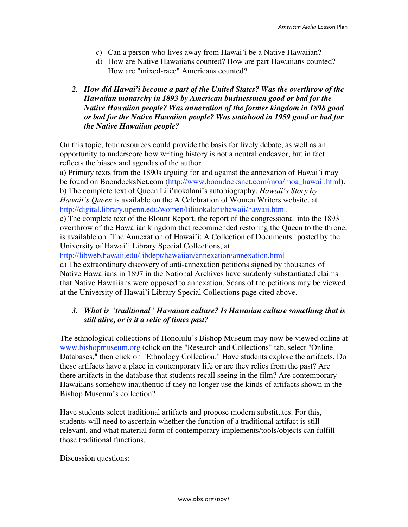- c) Can a person who lives away from Hawai'i be a Native Hawaiian?
- d) How are Native Hawaiians counted? How are part Hawaiians counted? How are "mixed-race" Americans counted?
- *2. How did Hawai'i become a part of the United States? Was the overthrow of the Hawaiian monarchy in 1893 by American businessmen good or bad for the Native Hawaiian people? Was annexation of the former kingdom in 1898 good or bad for the Native Hawaiian people? Was statehood in 1959 good or bad for the Native Hawaiian people?*

On this topic, four resources could provide the basis for lively debate, as well as an opportunity to underscore how writing history is not a neutral endeavor, but in fact reflects the biases and agendas of the author.

a) Primary texts from the 1890s arguing for and against the annexation of Hawai'i may be found on BoondocksNet.com (http://www.boondocksnet.com/moa/moa\_hawaii.html). b) The complete text of Queen Lili'uokalani's autobiography, *Hawaii's Story by Hawaii's Queen* is available on the A Celebration of Women Writers website, at http://digital.library.upenn.edu/women/liliuokalani/hawaii/hawaii.html.

c) The complete text of the Blount Report, the report of the congressional into the 1893 overthrow of the Hawaiian kingdom that recommended restoring the Queen to the throne, is available on "The Annexation of Hawai'i: A Collection of Documents" posted by the University of Hawai'i Library Special Collections, at

http://libweb.hawaii.edu/libdept/hawaiian/annexation/annexation.html

d) The extraordinary discovery of anti-annexation petitions signed by thousands of Native Hawaiians in 1897 in the National Archives have suddenly substantiated claims that Native Hawaiians were opposed to annexation. Scans of the petitions may be viewed at the University of Hawai'i Library Special Collections page cited above.

#### *3. What is "traditional" Hawaiian culture? Is Hawaiian culture something that is still alive, or is it a relic of times past?*

The ethnological collections of Honolulu's Bishop Museum may now be viewed online at www.bishopmuseum.org (click on the "Research and Collections" tab, select "Online Databases," then click on "Ethnology Collection." Have students explore the artifacts. Do these artifacts have a place in contemporary life or are they relics from the past? Are there artifacts in the database that students recall seeing in the film? Are contemporary Hawaiians somehow inauthentic if they no longer use the kinds of artifacts shown in the Bishop Museum's collection?

Have students select traditional artifacts and propose modern substitutes. For this, students will need to ascertain whether the function of a traditional artifact is still relevant, and what material form of contemporary implements/tools/objects can fulfill those traditional functions.

Discussion questions: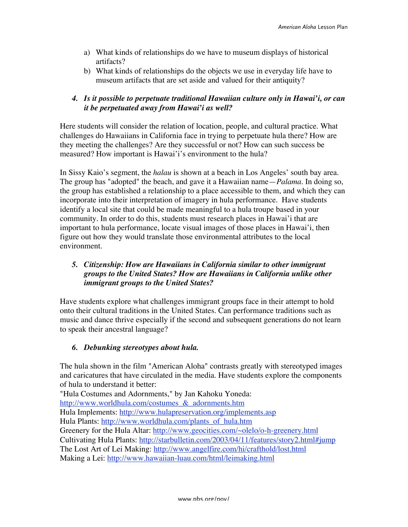- a) What kinds of relationships do we have to museum displays of historical artifacts?
- b) What kinds of relationships do the objects we use in everyday life have to museum artifacts that are set aside and valued for their antiquity?

# *4. Is it possible to perpetuate traditional Hawaiian culture only in Hawai'i, or can it be perpetuated away from Hawai'i as well?*

Here students will consider the relation of location, people, and cultural practice. What challenges do Hawaiians in California face in trying to perpetuate hula there? How are they meeting the challenges? Are they successful or not? How can such success be measured? How important is Hawai'i's environment to the hula?

In Sissy Kaio's segment, the *halau* is shown at a beach in Los Angeles' south bay area. The group has "adopted" the beach, and gave it a Hawaiian name—*Palama*. In doing so, the group has established a relationship to a place accessible to them, and which they can incorporate into their interpretation of imagery in hula performance. Have students identify a local site that could be made meaningful to a hula troupe based in your community. In order to do this, students must research places in Hawai'i that are important to hula performance, locate visual images of those places in Hawai'i, then figure out how they would translate those environmental attributes to the local environment.

# *5. Citizenship: How are Hawaiians in California similar to other immigrant groups to the United States? How are Hawaiians in California unlike other immigrant groups to the United States?*

Have students explore what challenges immigrant groups face in their attempt to hold onto their cultural traditions in the United States. Can performance traditions such as music and dance thrive especially if the second and subsequent generations do not learn to speak their ancestral language?

# *6. Debunking stereotypes about hula.*

The hula shown in the film "American Aloha" contrasts greatly with stereotyped images and caricatures that have circulated in the media. Have students explore the components of hula to understand it better:

"Hula Costumes and Adornments," by Jan Kahoku Yoneda: http://www.worldhula.com/costumes\_&\_adornments.htm Hula Implements: http://www.hulapreservation.org/implements.asp Hula Plants: http://www.worldhula.com/plants\_of\_hula.htm Greenery for the Hula Altar: http://www.geocities.com/~olelo/o-h-greenery.html Cultivating Hula Plants: http://starbulletin.com/2003/04/11/features/story2.html#jump The Lost Art of Lei Making: http://www.angelfire.com/hi/crafthold/lost.html Making a Lei: http://www.hawaiian-luau.com/html/leimaking.html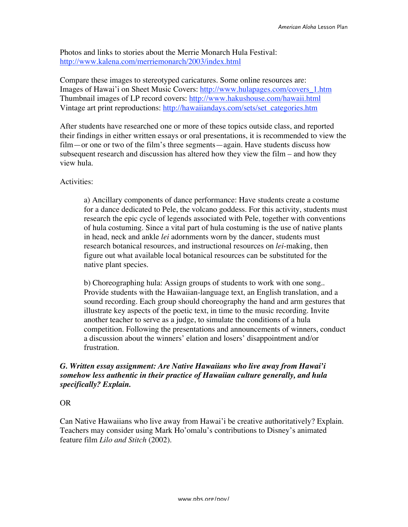Photos and links to stories about the Merrie Monarch Hula Festival: http://www.kalena.com/merriemonarch/2003/index.html

Compare these images to stereotyped caricatures. Some online resources are: Images of Hawai'i on Sheet Music Covers: http://www.hulapages.com/covers\_1.htm Thumbnail images of LP record covers: http://www.hakushouse.com/hawaii.html Vintage art print reproductions: http://hawaiiandays.com/sets/set\_categories.htm

After students have researched one or more of these topics outside class, and reported their findings in either written essays or oral presentations, it is recommended to view the film—or one or two of the film's three segments—again. Have students discuss how subsequent research and discussion has altered how they view the film – and how they view hula.

#### Activities:

a) Ancillary components of dance performance: Have students create a costume for a dance dedicated to Pele, the volcano goddess. For this activity, students must research the epic cycle of legends associated with Pele, together with conventions of hula costuming. Since a vital part of hula costuming is the use of native plants in head, neck and ankle *lei* adornments worn by the dancer, students must research botanical resources, and instructional resources on *lei*-making, then figure out what available local botanical resources can be substituted for the native plant species.

b) Choreographing hula: Assign groups of students to work with one song.. Provide students with the Hawaiian-language text, an English translation, and a sound recording. Each group should choreography the hand and arm gestures that illustrate key aspects of the poetic text, in time to the music recording. Invite another teacher to serve as a judge, to simulate the conditions of a hula competition. Following the presentations and announcements of winners, conduct a discussion about the winners' elation and losers' disappointment and/or frustration.

## *G. Written essay assignment: Are Native Hawaiians who live away from Hawai'i somehow less authentic in their practice of Hawaiian culture generally, and hula specifically? Explain.*

#### OR

Can Native Hawaiians who live away from Hawai'i be creative authoritatively? Explain. Teachers may consider using Mark Ho'omalu's contributions to Disney's animated feature film *Lilo and Stitch* (2002).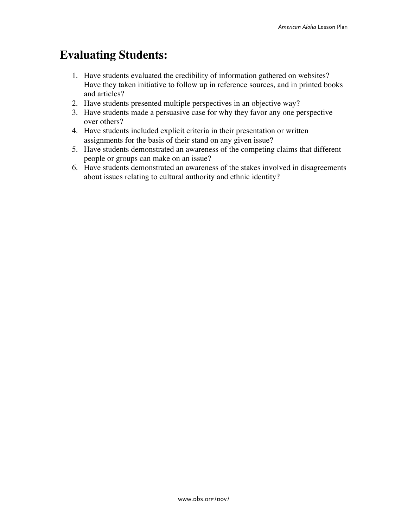# **Evaluating Students:**

- 1. Have students evaluated the credibility of information gathered on websites? Have they taken initiative to follow up in reference sources, and in printed books and articles?
- 2. Have students presented multiple perspectives in an objective way?
- 3. Have students made a persuasive case for why they favor any one perspective over others?
- 4. Have students included explicit criteria in their presentation or written assignments for the basis of their stand on any given issue?
- 5. Have students demonstrated an awareness of the competing claims that different people or groups can make on an issue?
- 6. Have students demonstrated an awareness of the stakes involved in disagreements about issues relating to cultural authority and ethnic identity?